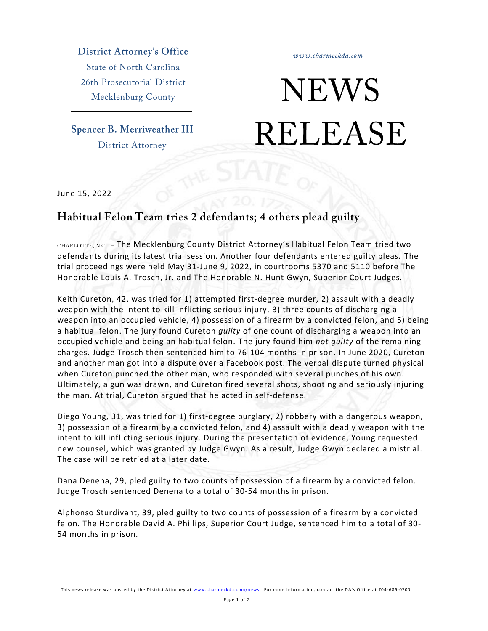**District Attorney's Office State of North Carolina** 26th Prosecutorial District

Mecklenburg County

**Spencer B. Merriweather III District Attorney** 

www.charmeckda.com

## **NEWS RELEASE**

June 15, 2022

## Habitual Felon Team tries 2 defendants; 4 others plead guilty

CHARLOTTE, N.C. - The Mecklenburg County District Attorney's Habitual Felon Team tried two defendants during its latest trial session. Another four defendants entered guilty pleas. The trial proceedings were held May 31-June 9, 2022, in courtrooms 5370 and 5110 before The Honorable Louis A. Trosch, Jr. and The Honorable N. Hunt Gwyn, Superior Court Judges.

Keith Cureton, 42, was tried for 1) attempted first-degree murder, 2) assault with a deadly weapon with the intent to kill inflicting serious injury, 3) three counts of discharging a weapon into an occupied vehicle, 4) possession of a firearm by a convicted felon, and 5) being a habitual felon. The jury found Cureton *guilty* of one count of discharging a weapon into an occupied vehicle and being an habitual felon. The jury found him *not guilty* of the remaining charges. Judge Trosch then sentenced him to 76-104 months in prison. In June 2020, Cureton and another man got into a dispute over a Facebook post. The verbal dispute turned physical when Cureton punched the other man, who responded with several punches of his own. Ultimately, a gun was drawn, and Cureton fired several shots, shooting and seriously injuring the man. At trial, Cureton argued that he acted in self-defense.

Diego Young, 31, was tried for 1) first-degree burglary, 2) robbery with a dangerous weapon, 3) possession of a firearm by a convicted felon, and 4) assault with a deadly weapon with the intent to kill inflicting serious injury. During the presentation of evidence, Young requested new counsel, which was granted by Judge Gwyn. As a result, Judge Gwyn declared a mistrial. The case will be retried at a later date.

Dana Denena, 29, pled guilty to two counts of possession of a firearm by a convicted felon. Judge Trosch sentenced Denena to a total of 30-54 months in prison.

Alphonso Sturdivant, 39, pled guilty to two counts of possession of a firearm by a convicted felon. The Honorable David A. Phillips, Superior Court Judge, sentenced him to a total of 30- 54 months in prison.